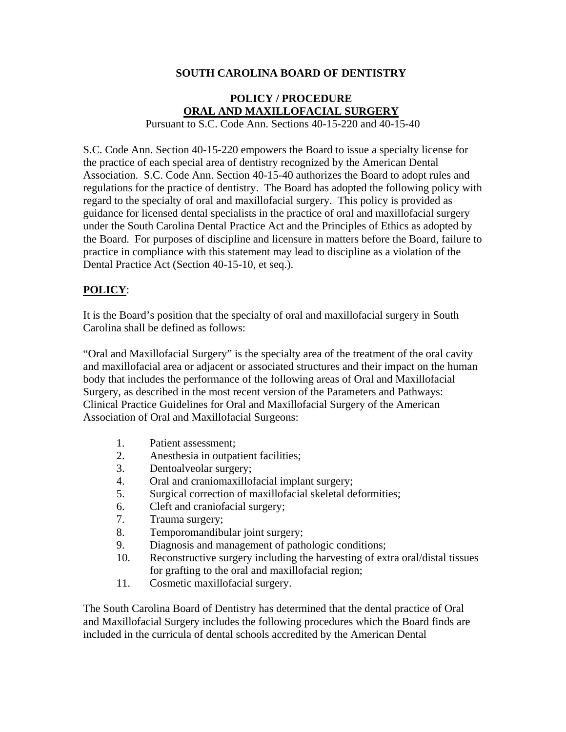## **SOUTH CAROLINA BOARD OF DENTISTRY**

## **POLICY / PROCEDURE ORAL AND MAXILLOFACIAL SURGERY**

Pursuant to S.C. Code Ann. Sections 40-15-220 and 40-15-40

S.C. Code Ann. Section 40-15-220 empowers the Board to issue a specialty license for the practice of each special area of dentistry recognized by the American Dental Association. S.C. Code Ann. Section 40-15-40 authorizes the Board to adopt rules and regulations for the practice of dentistry. The Board has adopted the following policy with regard to the specialty of oral and maxillofacial surgery. This policy is provided as guidance for licensed dental specialists in the practice of oral and maxillofacial surgery under the South Carolina Dental Practice Act and the Principles of Ethics as adopted by the Board. For purposes of discipline and licensure in matters before the Board, failure to practice in compliance with this statement may lead to discipline as a violation of the Dental Practice Act (Section 40-15-10, et seq.).

## **POLICY**:

It is the Board's position that the specialty of oral and maxillofacial surgery in South Carolina shall be defined as follows:

"Oral and Maxillofacial Surgery" is the specialty area of the treatment of the oral cavity and maxillofacial area or adjacent or associated structures and their impact on the human body that includes the performance of the following areas of Oral and Maxillofacial Surgery, as described in the most recent version of the Parameters and Pathways: Clinical Practice Guidelines for Oral and Maxillofacial Surgery of the American Association of Oral and Maxillofacial Surgeons:

- 1. Patient assessment;
- 2. Anesthesia in outpatient facilities;
- 3. Dentoalveolar surgery;
- 4. Oral and craniomaxillofacial implant surgery;
- 5. Surgical correction of maxillofacial skeletal deformities;
- 6. Cleft and craniofacial surgery;
- 7. Trauma surgery;
- 8. Temporomandibular joint surgery;
- 9. Diagnosis and management of pathologic conditions;
- 10. Reconstructive surgery including the harvesting of extra oral/distal tissues for grafting to the oral and maxillofacial region;
- 11. Cosmetic maxillofacial surgery.

The South Carolina Board of Dentistry has determined that the dental practice of Oral and Maxillofacial Surgery includes the following procedures which the Board finds are included in the curricula of dental schools accredited by the American Dental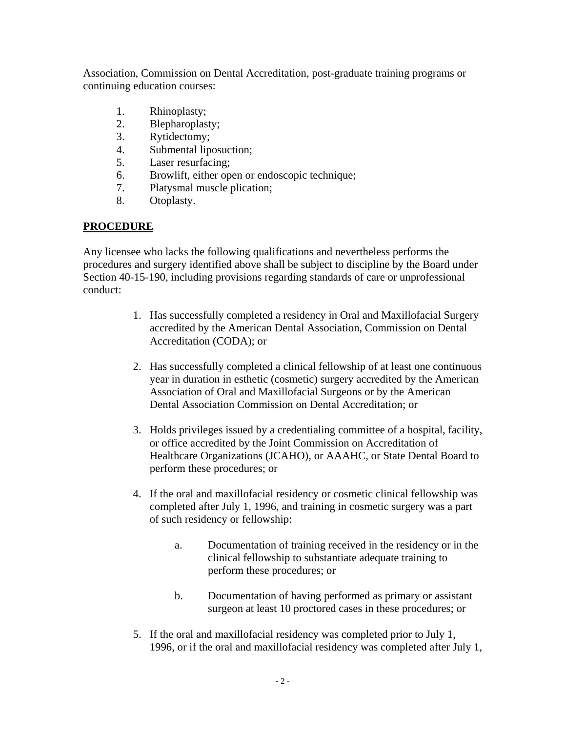Association, Commission on Dental Accreditation, post-graduate training programs or continuing education courses:

- 1. Rhinoplasty;
- 2. Blepharoplasty;
- 3. Rytidectomy;
- 4. Submental liposuction;
- 5. Laser resurfacing;
- 6. Browlift, either open or endoscopic technique;
- 7. Platysmal muscle plication;
- 8. Otoplasty.

## **PROCEDURE**

Any licensee who lacks the following qualifications and nevertheless performs the procedures and surgery identified above shall be subject to discipline by the Board under Section 40-15-190, including provisions regarding standards of care or unprofessional conduct:

- 1. Has successfully completed a residency in Oral and Maxillofacial Surgery accredited by the American Dental Association, Commission on Dental Accreditation (CODA); or
- 2. Has successfully completed a clinical fellowship of at least one continuous year in duration in esthetic (cosmetic) surgery accredited by the American Association of Oral and Maxillofacial Surgeons or by the American Dental Association Commission on Dental Accreditation; or
- 3. Holds privileges issued by a credentialing committee of a hospital, facility, or office accredited by the Joint Commission on Accreditation of Healthcare Organizations (JCAHO), or AAAHC, or State Dental Board to perform these procedures; or
- 4. If the oral and maxillofacial residency or cosmetic clinical fellowship was completed after July 1, 1996, and training in cosmetic surgery was a part of such residency or fellowship:
	- a. Documentation of training received in the residency or in the clinical fellowship to substantiate adequate training to perform these procedures; or
	- b. Documentation of having performed as primary or assistant surgeon at least 10 proctored cases in these procedures; or
- 5. If the oral and maxillofacial residency was completed prior to July 1, 1996, or if the oral and maxillofacial residency was completed after July 1,